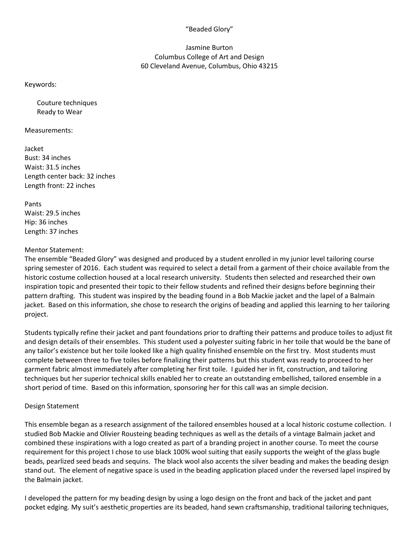## "Beaded Glory"

## Jasmine Burton Columbus College of Art and Design 60 Cleveland Avenue, Columbus, Ohio 43215

Keywords:

Couture techniques Ready to Wear

Measurements:

Jacket Bust: 34 inches Waist: 31.5 inches Length center back: 32 inches Length front: 22 inches

Pants Waist: 29.5 inches Hip: 36 inches Length: 37 inches

## Mentor Statement:

The ensemble "Beaded Glory" was designed and produced by a student enrolled in my junior level tailoring course spring semester of 2016. Each student was required to select a detail from a garment of their choice available from the historic costume collection housed at a local research university. Students then selected and researched their own inspiration topic and presented their topic to their fellow students and refined their designs before beginning their pattern drafting. This student was inspired by the beading found in a Bob Mackie jacket and the lapel of a Balmain jacket. Based on this information, she chose to research the origins of beading and applied this learning to her tailoring project.

Students typically refine their jacket and pant foundations prior to drafting their patterns and produce toiles to adjust fit and design details of their ensembles. This student used a polyester suiting fabric in her toile that would be the bane of any tailor's existence but her toile looked like a high quality finished ensemble on the first try. Most students must complete between three to five toiles before finalizing their patterns but this student was ready to proceed to her garment fabric almost immediately after completing her first toile. I guided her in fit, construction, and tailoring techniques but her superior technical skills enabled her to create an outstanding embellished, tailored ensemble in a short period of time. Based on this information, sponsoring her for this call was an simple decision.

## Design Statement

This ensemble began as a research assignment of the tailored ensembles housed at a local historic costume collection. I studied Bob Mackie and Olivier Rousteing beading techniques as well as the details of a vintage Balmain jacket and combined these inspirations with a logo created as part of a branding project in another course. To meet the course requirement for this project I chose to use black 100% wool suiting that easily supports the weight of the glass bugle beads, pearlized seed beads and sequins. The black wool also accents the silver beading and makes the beading design stand out. The element of negative space is used in the beading application placed under the reversed lapel inspired by the Balmain jacket.

I developed the pattern for my beading design by using a logo design on the front and back of the jacket and pant pocket edging. My suit's aesthetic properties are its beaded, hand sewn craftsmanship, traditional tailoring techniques,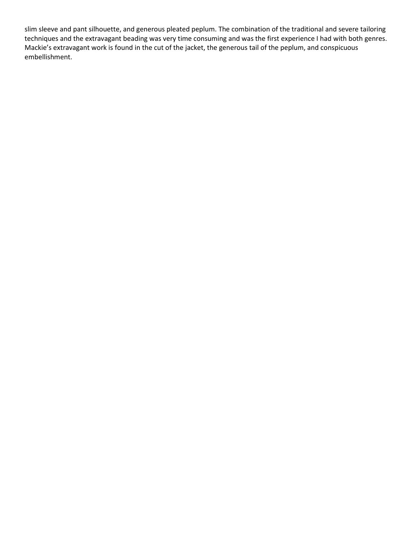slim sleeve and pant silhouette, and generous pleated peplum. The combination of the traditional and severe tailoring techniques and the extravagant beading was very time consuming and was the first experience I had with both genres. Mackie's extravagant work is found in the cut of the jacket, the generous tail of the peplum, and conspicuous embellishment.